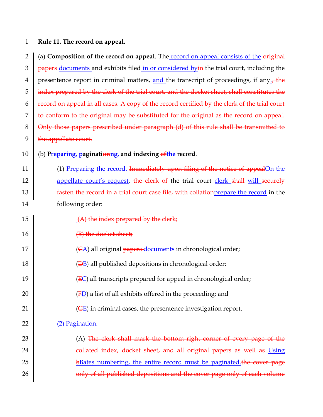## 1 **Rule 11. The record on appeal.**

2 (a) **Composition of the record on appeal**. The record on appeal consists of the original  $3 \mid$  papers-documents and exhibits filed in or considered by in the trial court, including the 4 presentence report in criminal matters, and the transcript of proceedings, if any. 5 index prepared by the clerk of the trial court, and the docket sheet, shall constitutes the  $6 \mid$  record on appeal in all cases. A copy of the record certified by the clerk of the trial court 7 to conform to the original may be substituted for the original as the record on appeal. 8 | Only those papers prescribed under paragraph (d) of this rule shall be transmitted to  $9$   $\frac{1}{2}$  the appellate court.

- 10 (b) **Preparing, paginationng, and indexing ofthe record**.
- 11 (1) Preparing the record. Immediately upon filing of the notice of appealOn the 12 **appellate court's request, the clerk of the trial court clerk shall will securely** 13 **fasten the record in a trial court case file, with collation** prepare the record in the 14 following order:
- 15  $(A)$  the index prepared by the clerk;
- 16 (B) the docket sheet;
- 17  $|$  (CA) all original papers-documents in chronological order;
- 18 ( $\overline{DB}$ ) all published depositions in chronological order;
- 19 ( $\overline{EC}$ ) all transcripts prepared for appeal in chronological order;
- 20  $\vert$  (FD) a list of all exhibits offered in the proceeding; and
- 21  $\vert$  (GE) in criminal cases, the presentence investigation report.
- 22 (2) Pagination.

23 | (A) The clerk shall mark the bottom right corner of every page of the 24 | collated index, docket sheet, and all original papers as well as Using 25 BBates numbering, the entire record must be paginated.the cover page 26 **Fig. 26** only of all published depositions and the cover page only of each volume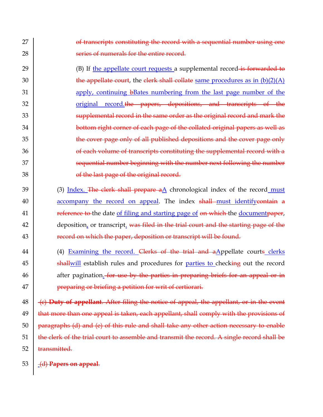27 27 | and transcripts constituting the record with a sequential number using one 28 **Solution** is expressed to the entire record.

29 (B) If the appellate court requests a supplemental record is forwarded to 30 the appellate court, the clerk shall collate same procedures as in  $(b)(2)(A)$ 31 31 apply, continuing bBates numbering from the last page number of the 32 **original** record.the papers, depositions, and transcripts of the 33 348 Supplemental record in the same order as the original record and mark the 34 34 bottom right corner of each page of the collated original papers as well as 35 The cover page only of all published depositions and the cover page only 36 36 36 of each volume of transcripts constituting the supplemental record with a 37 37 Sequential number beginning with the number next following the number 38 38 38

 (3) Index. The clerk shall prepare aA chronological index of the record must 40 accompany the record on appeal. The index shall must identify contain a **reference to** the date of filing and starting page of on which the document paper,  $\parallel$  deposition, or transcript. was filed in the trial court and the starting page of the **Figure 1 record on which the paper, deposition or transcript will be found.** 

44 (4) Examining the record. Clerks of the trial and aAppellate courts clerks 45 **shallwill establish rules and procedures for parties to checking out the record** 46 after pagination. For use by the parties in preparing briefs for an appeal or in 47 **preparing or briefing a petition for writ of certiorari.** 

  $\pm$   $\leftarrow$   $\leftarrow$   $\leftarrow$   $\leftarrow$   $\leftarrow$   $\leftarrow$   $\leftarrow$   $\leftarrow$   $\leftarrow$   $\leftarrow$   $\leftarrow$   $\leftarrow$   $\leftarrow$   $\leftarrow$   $\leftarrow$   $\leftarrow$   $\leftarrow$   $\leftarrow$   $\leftarrow$   $\leftarrow$   $\leftarrow$   $\leftarrow$   $\leftarrow$   $\leftarrow$   $\leftarrow$   $\leftarrow$   $\leftarrow$   $\leftarrow$   $\leftarrow$   $\leftarrow$   $\leftarrow$   $\leftarrow$   $\leftarrow$   $\leftarrow$   $\leftarrow$  | that more than one appeal is taken, each appellant, shall comply with the provisions of paragraphs (d) and (e) of this rule and shall take any other action necessary to enable  $\parallel$  the clerk of the trial court to assemble and transmit the record. A single record shall be 52 <del>transmitted.</del>

53 **(d) Papers on appeal.**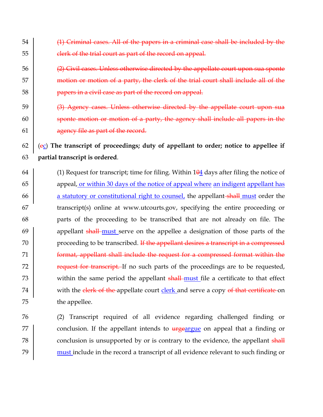- 54 (1) Solution Criminal cases. All of the papers in a criminal case shall be included by the 55 **clerk of the trial court as part of the record on appeal.**
- $\overline{2}$   $\overline{2}$  Civil cases. Unless otherwise directed by the appellate court upon sua sponte 57 motion or motion of a party, the clerk of the trial court shall include all of the 58 **Fig. 2.1 papers in a civil case as part of the record on appeal.**
- $59$  (3) Agency cases. Unless otherwise directed by the appellate court upon sua 60 sponte motion or motion of a party, the agency shall include all papers in the 61  $\vert$  agency file as part of the record.

62 (ec) **The transcript of proceedings; duty of appellant to order; notice to appellee if**  63 **partial transcript is ordered**.

- 64 (1) Request for transcript; time for filing. Within  $104$  days after filing the notice of 65 appeal, or within 30 days of the notice of appeal where an indigent appellant has 66 a statutory or constitutional right to counsel, the appellant shall must order the 67 transcript(s) online at www.utcourts.gov, specifying the entire proceeding or 68 parts of the proceeding to be transcribed that are not already on file. The 69 appellant shall must serve on the appellee a designation of those parts of the 70 | proceeding to be transcribed. If the appellant desires a transcript in a compressed 71 **Format, appellant shall include the request for a compressed format within the** 72 Trequest for transcript. If no such parts of the proceedings are to be requested, 73 within the same period the appellant shall-must file a certificate to that effect 74 with the clerk of the appellate court clerk and serve a copy of that certificate on 75 the appellee.
- 76 (2) Transcript required of all evidence regarding challenged finding or 77  $\vert$  conclusion. If the appellant intends to  $\frac{1}{2}$  urgeargue on appeal that a finding or 78 conclusion is unsupported by or is contrary to the evidence, the appellant shall 79 must include in the record a transcript of all evidence relevant to such finding or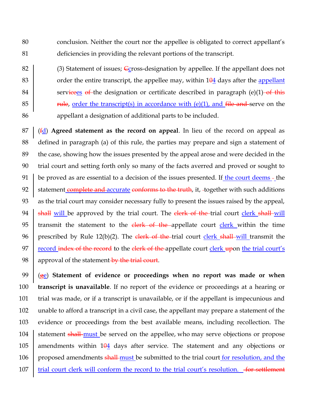80 conclusion. Neither the court nor the appellee is obligated to correct appellant's 81 deficiencies in providing the relevant portions of the transcript.

82 (3) Statement of issues; Ccross-designation by appellee. If the appellant does not 83  $\vert$  order the entire transcript, the appellee may, within  $104$  days after the appellant 84 services of the designation or certificate described in paragraph (e)(1) of this 85 **rule,** order the transcript(s) in accordance with  $(e)(1)$ , and file and serve on the 86 appellant a designation of additional parts to be included.

 (fd) **Agreed statement as the record on appeal**. In lieu of the record on appeal as defined in paragraph (a) of this rule, the parties may prepare and sign a statement of the case, showing how the issues presented by the appeal arose and were decided in the trial court and setting forth only so many of the facts averred and proved or sought to 91 be proved as are essential to a decision of the issues presented. If the court deems - the 92 statement complete and accurate conforms to the truth, it, together with such additions as the trial court may consider necessary fully to present the issues raised by the appeal,  $\parallel$  shall will be approved by the trial court. The clerk of the trial court clerk shall-will 95 transmit the statement to the  $\frac{e}{e^h}$  of the appellate court  $\frac{e}{e^h}$  within the time 96 prescribed by Rule 12(b)(2). The clerk of the trial court clerk shall will transmit the  $\vert$  record index of the record to the clerk of the appellate court clerk upon the trial court's  $\parallel$  approval of the statement-by the trial court.

99 (ge) **Statement of evidence or proceedings when no report was made or when**  100 **transcript is unavailable**. If no report of the evidence or proceedings at a hearing or 101 trial was made, or if a transcript is unavailable, or if the appellant is impecunious and 102 unable to afford a transcript in a civil case, the appellant may prepare a statement of the 103 evidence or proceedings from the best available means, including recollection. The 104 statement shall-must be served on the appellee, who may serve objections or propose 105 amendments within  $104$  days after service. The statement and any objections or 106 proposed amendments shall-must be submitted to the trial court for resolution, and the 107 trial court clerk will conform the record to the trial court's resolution. for settlement